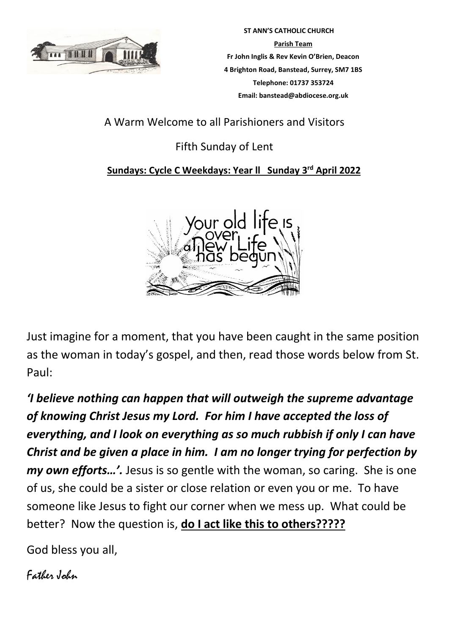

 **ST ANN'S CATHOLIC CHURCH Parish Team Fr John Inglis & Rev Kevin O'Brien, Deacon 4 Brighton Road, Banstead, Surrey, SM7 1BS Telephone: 01737 353724 Email: banstead@abdiocese.org.uk**

A Warm Welcome to all Parishioners and Visitors

# Fifth Sunday of Lent

# **Sundays: Cycle C Weekdays: Year ll Sunday 3 rd April 2022**



Just imagine for a moment, that you have been caught in the same position as the woman in today's gospel, and then, read those words below from St. Paul:

*'I believe nothing can happen that will outweigh the supreme advantage of knowing Christ Jesus my Lord. For him I have accepted the loss of everything, and I look on everything as so much rubbish if only I can have Christ and be given a place in him. I am no longer trying for perfection by my own efforts…'.* Jesus is so gentle with the woman, so caring. She is one of us, she could be a sister or close relation or even you or me. To have someone like Jesus to fight our corner when we mess up. What could be better? Now the question is, **do I act like this to others?????**

God bless you all,

Father John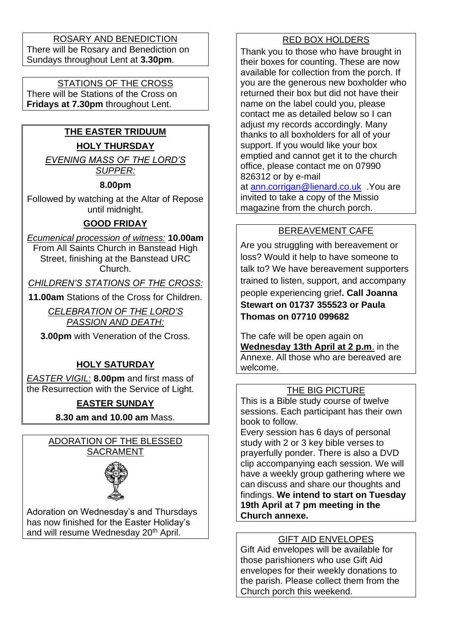ROSARY AND BENEDICTION There will be Rosary and Benediction on Sundays throughout Lent at **3.30pm**.

#### STATIONS OF THE CROSS

There will be Stations of the Cross on **Fridays at 7.30pm** throughout Lent.

# **THE EASTER TRIDUUM HOLY THURSDAY**

*EVENING MASS OF THE LORD'S SUPPER:*

#### **8.00pm**

Followed by watching at the Altar of Repose until midnight.

#### **GOOD FRIDAY**

*Ecumenical procession of witness:* **10.00am** From All Saints Church in Banstead High Street, finishing at the Banstead URC Church.

*CHILDREN'S STATIONS OF THE CROSS:*

**11.00am** Stations of the Cross for Children.

*CELEBRATION OF THE LORD'S PASSION AND DEATH:*

**3.00pm** with Veneration of the Cross.

## **HOLY SATURDAY**

*EASTER VIGIL*: **8.00pm** and first mass of the Resurrection with the Service of Light.

## **EASTER SUNDAY**

**8.30 am and 10.00 am** Mass.

ADORATION OF THE BLESSED SACRAMENT



Adoration on Wednesday's and Thursdays has now finished for the Easter Holiday's and will resume Wednesday 20<sup>th</sup> April.

## RED BOX HOLDERS

Thank you to those who have brought in their boxes for counting. These are now available for collection from the porch. If you are the generous new boxholder who returned their box but did not have their name on the label could you, please contact me as detailed below so I can adjust my records accordingly. Many thanks to all boxholders for all of your support. If you would like your box emptied and cannot get it to the church office, please contact me on 07990 826312 or by e-mail at [ann.corrigan@lienard.co.uk](mailto:ann.corrigan@lienard.co.uk) .You are invited to take a copy of the Missio magazine from the church porch.

#### BEREAVEMENT CAFE

Are you struggling with bereavement or loss? Would it help to have someone to talk to? We have bereavement supporters trained to listen, support, and accompany people experiencing grief**. Call Joanna Stewart on 01737 355523 or Paula Thomas on 07710 099682** 

The cafe will be open again on **Wednesday 13th April at 2 p.m**. in the Annexe. All those who are bereaved are welcome.

#### THE BIG PICTURE

This is a Bible study course of twelve sessions. Each participant has their own book to follow.

Every session has 6 days of personal study with 2 or 3 key bible verses to prayerfully ponder. There is also a DVD clip accompanying each session. We will have a weekly group gathering where we can discuss and share our thoughts and findings. **We intend to start on Tuesday 19th April at 7 pm meeting in the Church annexe.**

#### GIFT AID ENVELOPES

Gift Aid envelopes will be available for those parishioners who use Gift Aid envelopes for their weekly donations to the parish. Please collect them from the Church porch this weekend.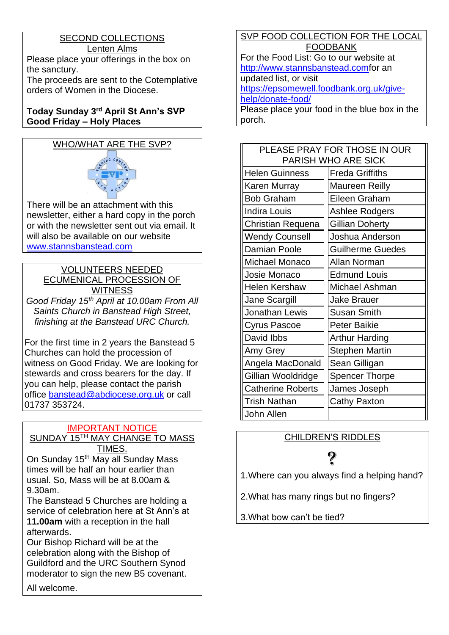## SECOND COLLECTIONS Lenten Alms

Please place your offerings in the box on the sanctury.

The proceeds are sent to the Cotemplative orders of Women in the Diocese.

#### **Today Sunday 3rd April St Ann's SVP Good Friday – Holy Places**

# WHO/WHAT ARE THE SVP?



There will be an attachment with this newsletter, either a hard copy in the porch or with the newsletter sent out via email. It will also be available on our website [www.stannsbanstead.com](http://www.stannsbanstead.com/)

#### VOLUNTEERS NEEDED ECUMENICAL PROCESSION OF **WITNESS**

*Good Friday 15th April at 10.00am From All Saints Church in Banstead High Street, finishing at the Banstead URC Church.*

For the first time in 2 years the Banstead 5 Churches can hold the procession of witness on Good Friday. We are looking for stewards and cross bearers for the day. If you can help, please contact the parish office [banstead@abdiocese.org.uk](mailto:banstead@abdiocese.org.uk) or call 01737 353724.

# IMPORTANT NOTICE

SUNDAY 15TH MAY CHANGE TO MASS TIMES.

On Sunday 15<sup>th</sup> May all Sunday Mass times will be half an hour earlier than usual. So, Mass will be at 8.00am & 9.30am.

The Banstead 5 Churches are holding a service of celebration here at St Ann's at **11.00am** with a reception in the hall afterwards.

Our Bishop Richard will be at the celebration along with the Bishop of Guildford and the URC Southern Synod moderator to sign the new B5 covenant.

All welcome.

SVP FOOD COLLECTION FOR THE LOCAL FOODBANK For the Food List: Go to our website at [http://www.stannsbanstead.comf](http://www.stannsbanstead.com/)or an updated list, or visit [https://epsomewell.foodbank.org.uk/give](https://epsomewell.foodbank.org.uk/give-help/donate-food/)[help/donate-food/](https://epsomewell.foodbank.org.uk/give-help/donate-food/) Please place your food in the blue box in the porch.

| PLEASE PRAY FOR THOSE IN OUR<br>PARISH WHO ARE SICK |                         |  |
|-----------------------------------------------------|-------------------------|--|
| <b>Helen Guinness</b>                               | <b>Freda Griffiths</b>  |  |
| Karen Murray                                        | <b>Maureen Reilly</b>   |  |
| <b>Bob Graham</b>                                   | Eileen Graham           |  |
| <b>Indira Louis</b>                                 | Ashlee Rodgers          |  |
| Christian Requena                                   | <b>Gillian Doherty</b>  |  |
| <b>Wendy Counsell</b>                               | Joshua Anderson         |  |
| <b>Damian Poole</b>                                 | <b>Guilherme Guedes</b> |  |
| Michael Monaco                                      | Allan Norman            |  |
| Josie Monaco                                        | <b>Edmund Louis</b>     |  |
| <b>Helen Kershaw</b>                                | Michael Ashman          |  |
| Jane Scargill                                       | <b>Jake Brauer</b>      |  |
| Jonathan Lewis                                      | <b>Susan Smith</b>      |  |
| <b>Cyrus Pascoe</b>                                 | <b>Peter Baikie</b>     |  |
| David Ibbs                                          | <b>Arthur Harding</b>   |  |
| Amy Grey                                            | <b>Stephen Martin</b>   |  |
| Angela MacDonald                                    | Sean Gilligan           |  |
| Gillian Wooldridge                                  | <b>Spencer Thorpe</b>   |  |
| <b>Catherine Roberts</b>                            | James Joseph            |  |
| <b>Trish Nathan</b>                                 | <b>Cathy Paxton</b>     |  |
| John Allen                                          |                         |  |

# CHILDREN'S RIDDLES

# ?

1.Where can you always find a helping hand?

2.What has many rings but no fingers?

3.What bow can't be tied?